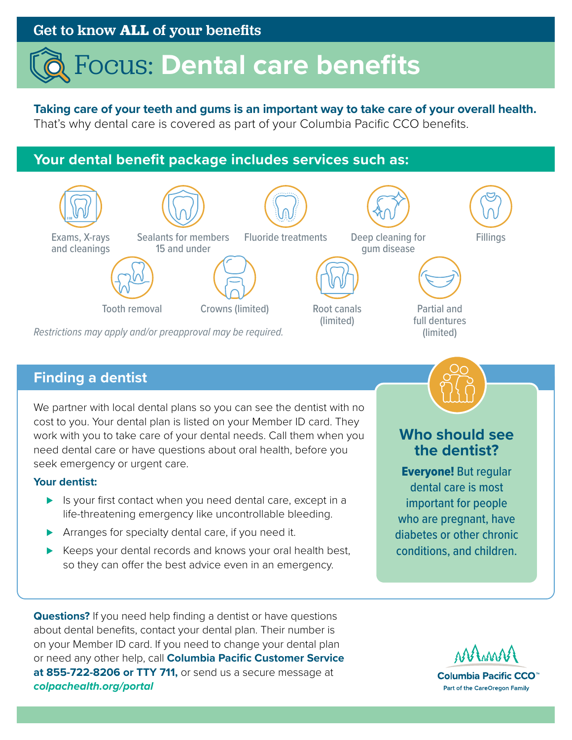# Get to know **ALL** of your benefits

# Focus: **Dental care benefits**

## **Taking care of your teeth and gums is an important way to take care of your overall health.**

That's why dental care is covered as part of your Columbia Pacific CCO benefits.

# **Your dental benefit package includes services such as:**



*Restrictions may apply and/or preapproval may be required.* (limited)

## **Finding a dentist**

We partner with local dental plans so you can see the dentist with no cost to you. Your dental plan is listed on your Member ID card. They work with you to take care of your dental needs. Call them when you need dental care or have questions about oral health, before you seek emergency or urgent care.

#### **Your dentist:**

- ► Is your first contact when you need dental care, except in a life-threatening emergency like uncontrollable bleeding.
- ▶ Arranges for specialty dental care, if you need it.
- ► Keeps your dental records and knows your oral health best, so they can offer the best advice even in an emergency.

**Questions?** If you need help finding a dentist or have questions about dental benefits, contact your dental plan. Their number is on your Member ID card. If you need to change your dental plan or need any other help, call **Columbia Pacific Customer Service at 855-722-8206 or TTY 711,** or send us a secure message at *[colpachealth.org/portal](http://colpachealth.org/portal)*



**Who should see the dentist?**

Everyone! But regular dental care is most important for people who are pregnant, have diabetes or other chronic conditions, and children.

Columbia Pacific CCO<sup>™</sup> Part of the CareOregon Family